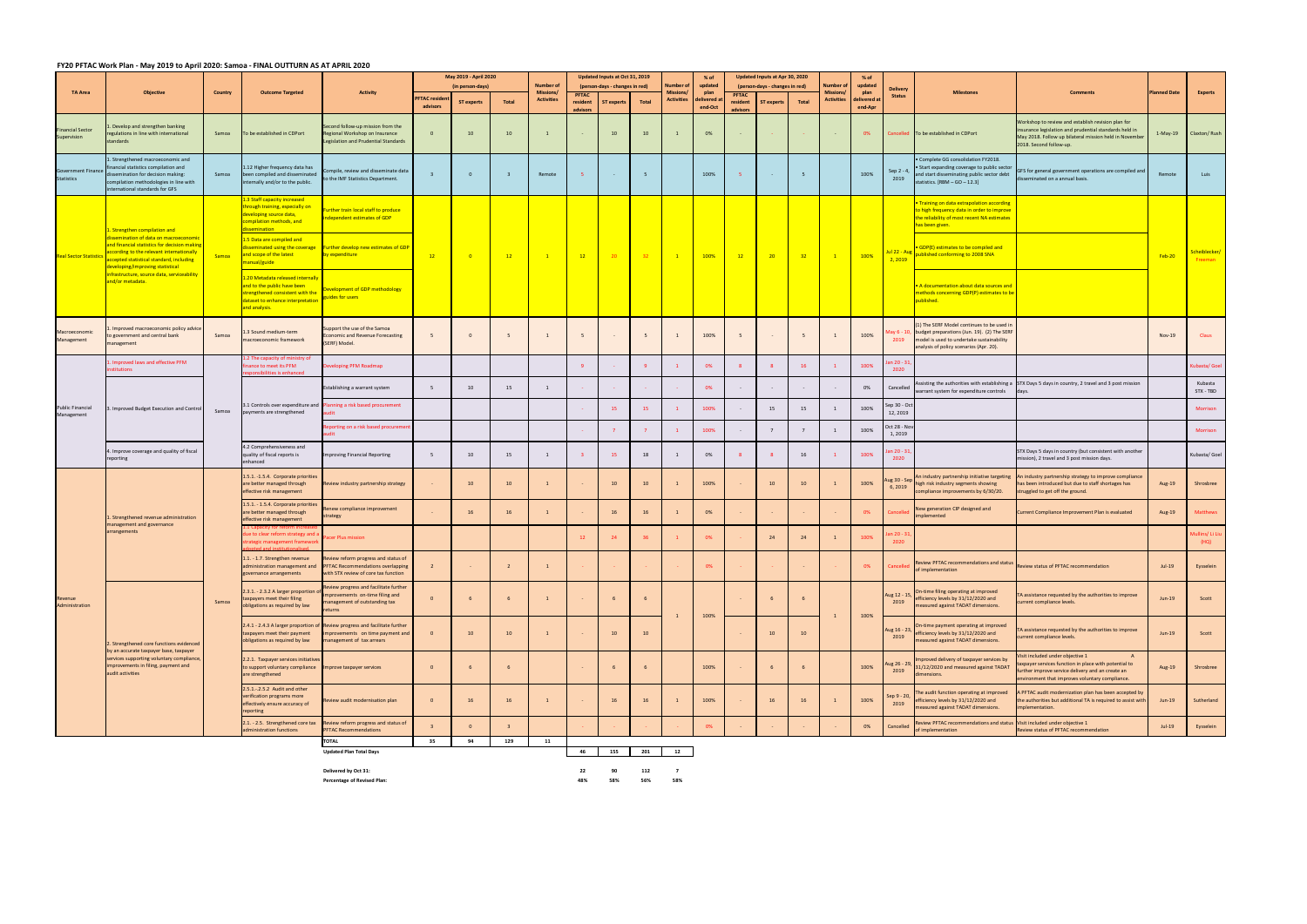## FY20 PFTAC Work Plan - May 2019 to April 2020: Samoa - FINAL OUTTURN AS AT APRIL 2020

|                                                |                                                                                                                                                                                                                |         |                                                                                                                                                           |                                                                                                                                                 |                                 | May 2019 - April 2020 |                         |                                      |                      | Updated Inputs at Oct 31, 2019 |       |                             | % of                   |                      | Updated Inputs at Apr 30, 2020 |           |                                     | $%$ of                 |                                  |                                                                                                                                                                                             |                                                                                                                                                                                                   |                     |                          |
|------------------------------------------------|----------------------------------------------------------------------------------------------------------------------------------------------------------------------------------------------------------------|---------|-----------------------------------------------------------------------------------------------------------------------------------------------------------|-------------------------------------------------------------------------------------------------------------------------------------------------|---------------------------------|-----------------------|-------------------------|--------------------------------------|----------------------|--------------------------------|-------|-----------------------------|------------------------|----------------------|--------------------------------|-----------|-------------------------------------|------------------------|----------------------------------|---------------------------------------------------------------------------------------------------------------------------------------------------------------------------------------------|---------------------------------------------------------------------------------------------------------------------------------------------------------------------------------------------------|---------------------|--------------------------|
| <b>TA Area</b>                                 | <b>Objective</b>                                                                                                                                                                                               | Country | <b>Outcome Targeted</b>                                                                                                                                   | <b>Activity</b>                                                                                                                                 |                                 | (in person-days)      |                         | <b>Number of</b><br><b>Missions/</b> | <b>PFTAC</b>         | (person-days - changes in red) |       | Number o<br><b>Missions</b> | updated<br>plan        | <b>PFTAC</b>         | (person-days - changes in red) |           | <b>Jumber</b> of<br><b>Missions</b> | updated<br>plan        | <b>Delivery</b><br><b>Status</b> | <b>Milestones</b>                                                                                                                                                                           | <b>Comments</b>                                                                                                                                                                                   | <b>Planned Date</b> | <b>Experts</b>           |
|                                                |                                                                                                                                                                                                                |         |                                                                                                                                                           |                                                                                                                                                 | <b>FTAC residen</b><br>advisors | <b>ST experts</b>     | Total                   | <b>Activities</b>                    | resident<br>advisors | <b>ST experts</b>              | Total | <b>Activities</b>           | delivered :<br>end-Oct | resident<br>advisors | ST experts                     | Total     | <b>Activities</b>                   | delivered a<br>end-Apr |                                  |                                                                                                                                                                                             |                                                                                                                                                                                                   |                     |                          |
| <b>Financial Sector</b><br>Supervision         | Develop and strengthen banking<br>egulations in line with international<br>standards                                                                                                                           | Samoa   | To be established in CDPort                                                                                                                               | Second follow-up mission from the<br>Regional Workshop on Insurance<br><b>Legislation and Prudential Standards</b>                              | $\overline{0}$                  | 10                    | 10                      | $\mathbf{1}$                         |                      | 10                             | 10    |                             | 0%                     |                      |                                |           |                                     | 0%                     |                                  | Cancelled To be established in CDPort                                                                                                                                                       | Workshop to review and establish revision plan for<br>insurance legislation and prudential standards held in<br>May 2018. Follow up bilateral mission held in November<br>2018. Second follow-up. | $1-May-19$          | Claxton/Rush             |
| <b>Government Finance</b><br><b>Statistics</b> | . Strengthened macroeconomic and<br>nancial statistics compilation and<br>issemination for decision making:<br>compilation methodologies in line with<br>nternational standards for GFS                        | Samoa   | 1.12 Higher frequency data has<br>been compiled and disseminated<br>ternally and/or to the public.                                                        | ompile, review and disseminate data<br>o the IMF Statistics Department.                                                                         |                                 | $\mathbf{0}$          | -3                      | Remote                               |                      |                                | 5     |                             | 100%                   |                      |                                |           |                                     | 100%                   | Sep 2 - 4,<br>2019               | · Complete GG consolidation FY2018.<br>• Start expanding coverage to public sector<br>nd start disseminating public sector debt<br>$tatisfies. [RBM - GO - 12.3]$                           | GFS for general government operations are compiled and<br>sseminated on a annual basis.                                                                                                           | Remote              | Luis                     |
|                                                | . Strengthen compilation and                                                                                                                                                                                   |         | .3 Staff capacity increased<br>nrough training, especially on<br>leveloping source data,<br>ompilation methods, and<br>semination                         | urther train local staff to produce<br>dependent estimates of GDP                                                                               |                                 |                       |                         |                                      |                      |                                |       |                             |                        |                      |                                |           |                                     |                        |                                  | Training on data extrapolation according<br>o high frequency data in order to improve<br>he reliability of most recent NA estimates<br>has been given.                                      |                                                                                                                                                                                                   |                     |                          |
| <b>Real Sector Statistics</b>                  | semination of data on macroeconomi<br>nd financial statistics for decision making<br>according to the relevant internationally<br>accepted statistical standard, including<br>leveloping/improving statistical | Samoa   | 1.5 Data are compiled and<br>and scope of the latest<br>manual/guide                                                                                      | sseminated using the coverage Further develop new estimates of GDP<br>expenditure                                                               | 12                              |                       | 12                      | $\blacksquare$                       | 12                   | 20                             | 32    |                             | 100%                   | 12                   | 20                             | 32        |                                     | 100%                   | 2,2019                           | GDP(E) estimates to be compiled and<br>Jul 22 - Aug published conforming to 2008 SNA                                                                                                        |                                                                                                                                                                                                   | $Feb-20$            | Scheiblecker/<br>Freeman |
|                                                | frastructure, source data, serviceability<br>nd/or metadata.                                                                                                                                                   |         | 1.20 Metadata released internally<br>and to the public have been<br>trengthened consistent with the<br>dataset to enhance interpretation<br>and analysis. | evelopment of GDP methodology<br>uides for users                                                                                                |                                 |                       |                         |                                      |                      |                                |       |                             |                        |                      |                                |           |                                     |                        |                                  | . A documentation about data sources and<br>nethods concerning GDP(P) estimates to be<br>oublished.                                                                                         |                                                                                                                                                                                                   |                     |                          |
| Macroeconomic<br>Management                    | Improved macroeconomic policy advice<br>government and central bank<br>nanagement                                                                                                                              | Samoa   | 3 Sound medium-term<br>acroeconomic framework                                                                                                             | upport the use of the Samoa<br>conomic and Revenue Forecasting<br>(SERF) Model.                                                                 |                                 |                       |                         | $\overline{1}$                       |                      |                                | 5     |                             | 100%                   |                      |                                |           |                                     | 100%                   | 2019                             | ) The SERF Model continues to be used ir<br>Vlay 6 - 10, budget preparations (Jun. 19). (2) The SERF<br>model is used to undertake sustainability<br>nalysis of policy scenarios (Apr. 20). |                                                                                                                                                                                                   | Nov-19              | Claus                    |
|                                                | Improved laws and effective PFM<br><b>Litutions</b>                                                                                                                                                            |         | .2 The capacity of ministry of<br>ance to meet its PFM<br>nsibilities is enhanced                                                                         | veloping PFM Roadmap                                                                                                                            |                                 |                       |                         |                                      |                      |                                |       |                             | 0%                     |                      |                                | <b>16</b> |                                     | 100%                   | an 20 - 31,<br>2020              |                                                                                                                                                                                             |                                                                                                                                                                                                   |                     | ubasta/ Goel             |
|                                                |                                                                                                                                                                                                                |         |                                                                                                                                                           | Establishing a warrant system                                                                                                                   | 5                               | 10                    | 15                      | 1                                    |                      |                                |       |                             | 0%                     |                      |                                |           |                                     | 0%                     | Cancelled                        | warrant system for expenditure controls                                                                                                                                                     | Assisting the authorities with establishing a STX Days 5 days in country, 2 travel and 3 post mission                                                                                             |                     | Kubasta<br>STX - TBD     |
| Public Financial<br>Management                 | . Improved Budget Execution and Control                                                                                                                                                                        | Samoa   | 3.1 Controls over expenditure and<br>payments are strengthened                                                                                            | anning a risk based procurement                                                                                                                 |                                 |                       |                         |                                      |                      | 15                             | 15    |                             | 100%                   |                      | 15                             | 15        |                                     | 100%                   | Sep 30 - Oc<br>12, 2019          |                                                                                                                                                                                             |                                                                                                                                                                                                   |                     | Morrison                 |
|                                                |                                                                                                                                                                                                                |         |                                                                                                                                                           | porting on a risk based procuremer                                                                                                              |                                 |                       |                         |                                      |                      |                                |       |                             | 100%                   |                      |                                |           |                                     | 100%                   | Oct 28 - No<br>1,2019            |                                                                                                                                                                                             |                                                                                                                                                                                                   |                     | Morrison                 |
|                                                | Improve coverage and quality of fiscal<br>eporting                                                                                                                                                             |         | 4.2 Comprehensiveness and<br>quality of fiscal reports is<br>nhanced                                                                                      | nproving Financial Reporting                                                                                                                    | 5                               | 10                    | 15                      | $\overline{1}$                       |                      | 15                             | 18    | 1                           | 0%                     |                      |                                | 16        |                                     | 100%                   | an 20 - 31<br>2020               |                                                                                                                                                                                             | STX Days 5 days in country (but consistent with another<br>ission), 2 travel and 3 post mission days.                                                                                             |                     | Kubasta/ Goel            |
|                                                |                                                                                                                                                                                                                |         | 1.5.1. -1.5.4. Corporate priorities<br>are better managed through<br>effective risk management                                                            | Review industry partnership strategy                                                                                                            |                                 | 10                    | 10                      | $\mathbf{1}$                         |                      | 10                             | 10    |                             | 100%                   |                      | 10                             | 10        |                                     | 100%                   | Aug 30 - Sep<br>6,2019           | in industry partnership initiative targeting<br>high risk industry segments showing<br>ompliance improvements by 6/30/20.                                                                   | An industry partnership strategy to improve compliance<br>has been introduced but due to staff shortages has<br>truggled to get off the ground.                                                   | Aug-19              | Shrosbree                |
|                                                | Strengthened revenue administration<br>nanagement and governance                                                                                                                                               |         | 1.5.1. - 1.5.4. Corporate priorities<br>are better managed through<br>effective risk management                                                           | enew compliance improvement<br>rategy                                                                                                           |                                 | 16                    | 16                      | $\mathbf{1}$                         |                      | 16                             | 16    |                             | 0%                     |                      |                                |           |                                     | 0%                     | Cancelle                         | ew generation CIP designed and<br>nplemented                                                                                                                                                | Current Compliance Improvement Plan is evaluated                                                                                                                                                  | Aug-19              | Matthews                 |
|                                                | arrangements                                                                                                                                                                                                   |         | ue to clear reform strategy and a<br>rategic management framework                                                                                         | acer Plus mission                                                                                                                               |                                 |                       |                         |                                      | 12                   |                                | 36    |                             | 0%                     |                      | 24                             | 24        |                                     | 100%                   | in 20 - 31<br>2020               |                                                                                                                                                                                             |                                                                                                                                                                                                   |                     | Mullins/Li Liu<br>(HQ)   |
|                                                |                                                                                                                                                                                                                |         | 1.1. - 1.7. Strengthen revenue<br>overnance arrangements                                                                                                  | Review reform progress and status of<br>administration management and PFTAC Recommendations overlapping<br>with STX review of core tax function | $\overline{2}$                  |                       | $\overline{\mathbf{2}}$ | $\overline{1}$                       |                      |                                |       |                             | 0%                     |                      |                                |           |                                     | 0%                     |                                  | view PFTAC recommendations and status<br>of implementation                                                                                                                                  | Review status of PFTAC recommendation                                                                                                                                                             | Jul-19              | Eysselein                |
| Revenue<br>Administration                      |                                                                                                                                                                                                                | Samoa   | 2.3.1. - 2.3.2 A larger proportion o<br>taxpayers meet their filing<br>bligations as required by law                                                      | Review progress and facilitate further<br>mprovememts on-time filing and<br>anagement of outstanding tax                                        | $\overline{0}$                  |                       |                         | $\mathbf{1}$                         |                      |                                | - 6   |                             | 100%                   |                      |                                |           |                                     | 100%                   | Aug 12 - 15,<br>2019             | On-time filing operating at improved<br>efficiency levels by 31/12/2020 and<br>measured against TADAT dimensions.                                                                           | A assistance requested by the authorities to improve<br>urrent compliance levels.                                                                                                                 | $Jun-19$            | Scott                    |
|                                                | 2. Strengthened core functions evidenced                                                                                                                                                                       |         | 2.4.1 - 2.4.3 A larger proportion of<br>taxpayers meet their payment<br>obligations as required by law                                                    | Review progress and facilitate further<br>mprovememts on time payment and<br>management of tax arrears                                          |                                 | 10                    | 10                      | $\overline{1}$                       |                      | 10                             | 10    |                             |                        |                      | 10                             | 10        |                                     |                        | Aug 16 - 23,<br>2019             | On-time payment operating at improved<br>efficiency levels by 31/12/2020 and<br>measured against TADAT dimensions.                                                                          | A assistance requested by the authorities to improve<br>urrent compliance levels.                                                                                                                 | $Jun-19$            | Scott                    |
|                                                | by an accurate taxpayer base, taxpayer<br>services supporting voluntary compliance<br>improvements in filing, payment and<br>audit activities                                                                  |         | 2.2.1. Taxpayer services initiatives<br>to support voluntary compliance  Improve taxpayer services<br>are strengthened                                    |                                                                                                                                                 | $\overline{0}$                  |                       | 6                       |                                      |                      |                                | 6     |                             | 100%                   |                      |                                |           |                                     | 100%                   | ug 26 - 29,<br>2019              | nproved delivery of taxpayer services by<br>31/12/2020 and measured against TADAT<br>mensions.                                                                                              | isit included under objective 1<br>axpayer services function in place with potential to<br>further improve service delivery and an create an<br>nvironment that improves voluntary compliance.    | Aug-19              | Shrosbree                |
|                                                |                                                                                                                                                                                                                |         | 2.5.1.-.2.5.2 Audit and other<br>verification programs more<br>effectively ensure accuracy of<br>eporting                                                 | eview audit modernisation plan                                                                                                                  | $\overline{0}$                  | 16                    | 16                      | $\mathbf{1}$                         |                      | 16                             | 16    |                             | 100%                   |                      | 16                             | 16        |                                     | 100%                   | Sep 9 - 20,<br>2019              | he audit function operating at improved<br>efficiency levels by 31/12/2020 and<br>neasured against TADAT dimensions.                                                                        | A PFTAC audit modernization plan has been accepted by<br>the authorities but additional TA is required to assist with<br>mplementation.                                                           | $Jun-19$            | Sutherland               |
|                                                |                                                                                                                                                                                                                |         | 2.1. - 2.5. Strengthened core tax<br>dministration functions                                                                                              | Review reform progress and status of<br><b>PFTAC Recommendations</b>                                                                            |                                 |                       |                         |                                      |                      |                                |       |                             | 0%                     |                      |                                |           |                                     | 0%                     | Cancelled                        | eview PFTAC recommendations and status Visit included under objective 1<br>f implementation                                                                                                 | Review status of PFTAC recommendation                                                                                                                                                             | $Jul-19$            | Eysselein                |
|                                                |                                                                                                                                                                                                                |         |                                                                                                                                                           | <b>TOTAL</b>                                                                                                                                    | 35                              | 94                    | 129                     | 11                                   |                      |                                |       |                             |                        |                      |                                |           |                                     |                        |                                  |                                                                                                                                                                                             |                                                                                                                                                                                                   |                     |                          |
|                                                |                                                                                                                                                                                                                |         |                                                                                                                                                           | <b>Updated Plan Total Days</b>                                                                                                                  |                                 |                       |                         |                                      | 46                   | 155                            | 201   | 12                          |                        |                      |                                |           |                                     |                        |                                  |                                                                                                                                                                                             |                                                                                                                                                                                                   |                     |                          |

**Delivered by Oct 31: 22 90 112 7 Percentage of Revised Plan: 48% 58% 56% 58%**